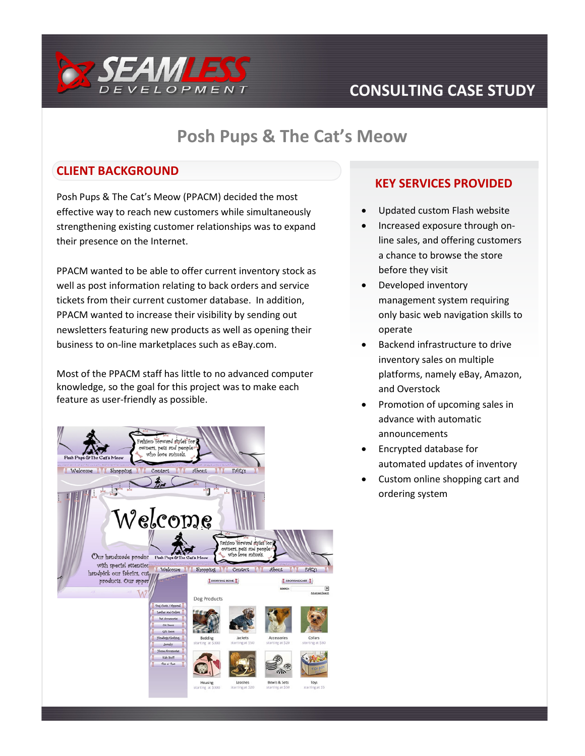

# **CONSULTING CASE STUDY**

### **Posh Pups & The Cat's Meow**

### **CLIENT BACKGROUND**

Posh Pups & The Cat's Meow (PPACM) decided the most effective way to reach new customers while simultaneously strengthening existing customer relationships was to expand their presence on the Internet.

PPACM wanted to be able to offer current inventory stock as well as post information relating to back orders and service tickets from their current customer database. In addition, PPACM wanted to increase their visibility by sending out newsletters featuring new products as well as opening their business to on-line marketplaces such as eBay.com.

Most of the PPACM staff has little to no advanced computer knowledge, so the goal for this project was to make each feature as user-friendly as possible.



#### **KEY SERVICES PROVIDED**

- Updated custom Flash website
- Increased exposure through online sales, and offering customers a chance to browse the store before they visit
- Developed inventory management system requiring only basic web navigation skills to operate
- Backend infrastructure to drive inventory sales on multiple platforms, namely eBay, Amazon, and Overstock
- Promotion of upcoming sales in advance with automatic announcements
- Encrypted database for automated updates of inventory
- Custom online shopping cart and ordering system